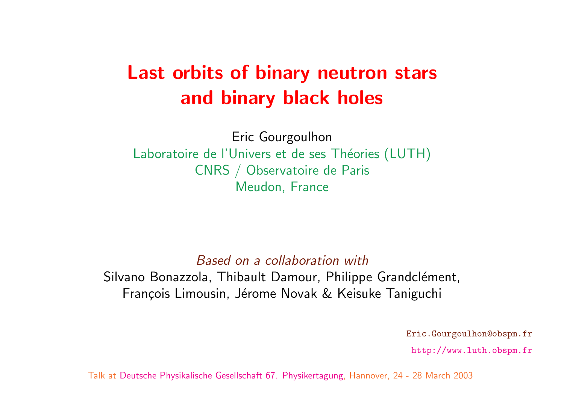# Last orbits of binary neutron st and binary black holes

Eric Gourgoulhon Laboratoire de l'Univers et de ses Théories (LUT CNRS / Observatoire de Paris Meudon, France

Based on a collaboration with Silvano Bonazzola, Thibault Damour, Philippe Grand François Limousin, Jérome Novak & Keisuke Tani

Eric.Gourgoulhon@obspm.fr

Talk at Deutsche Physikalische Gesellschaft 67. Physikertagung, Hannover, 24 -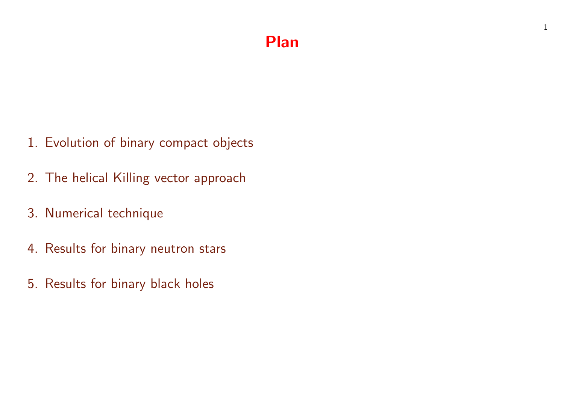### Plan

- 1. Evolution of binary compact objects
- 2. The helical Killing vector approach
- 3. Numerical technique
- 4. Results for binary neutron stars
- 5. Results for binary black holes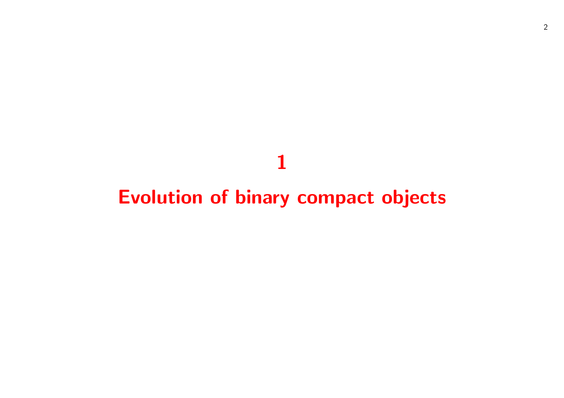# 

# Evolution of binary compact objects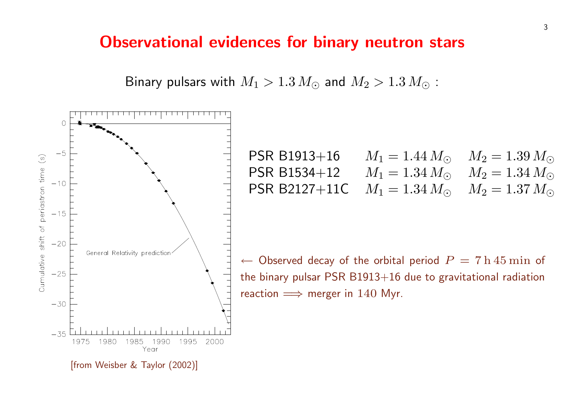#### Observational evidences for binary neutro

Binary pulsars with  $M_1 > 1.3$   $M_{\odot}$  and  $M_2 > 1.3$ .

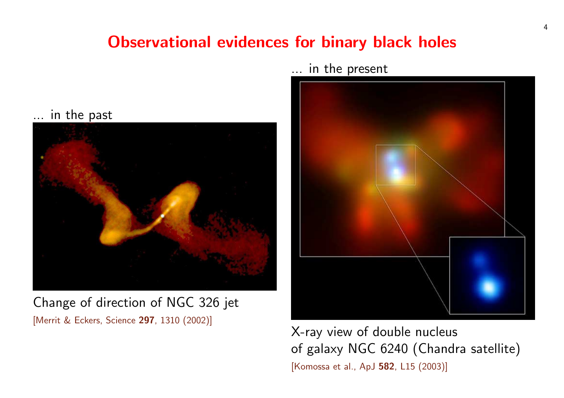## Observational evidences for binary black



Change of direction of NGC 326 jet [Merrit & Eckers, Science 297, 1310 (2002)]



X-ray view of double of galaxy NGC 6240 [Komossa et al., ApJ 582, L1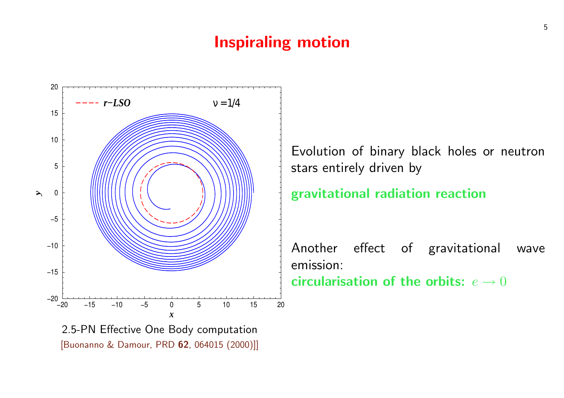#### Inspiraling motion



[Buonanno & Damour, PRD 62, 064015 (2000)]]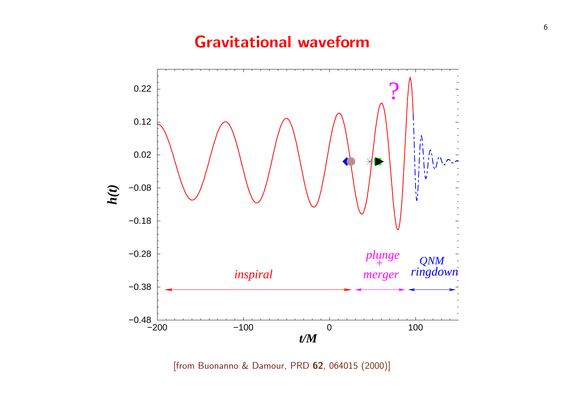### Gravitational waveform



[from Buonanno & Damour, PRD 62, 064015 (2000)]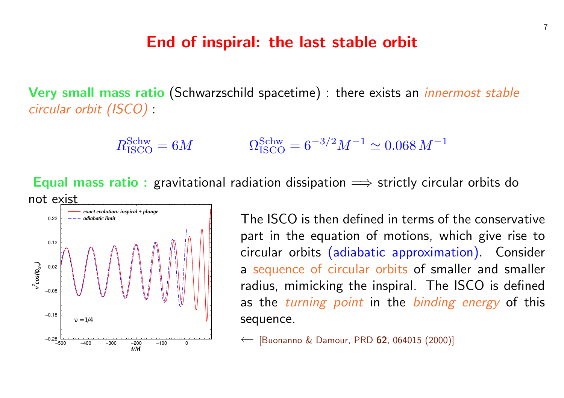#### End of inspiral: the last stable orbit

Very small mass ratio (Schwarzschild spacetime) : there exists and circular orbit (ISCO) :

$$
R_{\rm ISCO}^{\rm Schw} = 6M \qquad \qquad \Omega
$$

 $Schw \over 1SCO} = 6^{-3/2} M^{-1} \simeq 0.06$ 

Equal mass ratio : gravitational radiation dissipation  $\implies$  strictl



The ISCO is then defined in to part in the equation of moti circular orbits (adiabatic app a sequence of circular orbits radius, mimicking the inspiral as the turning point in the sequence.

← [Buonanno & Damour, PRD 62, 0640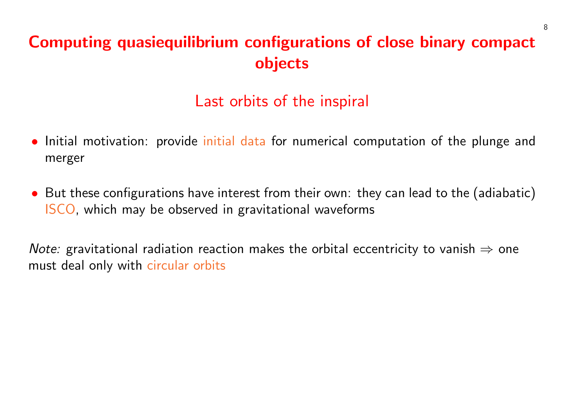## Computing quasiequilibrium configurations of close binary compact objects

## Last orbits of the inspiral

- Initial motivation: provide initial data for numerical computation of the plunge and merger
- But these configurations have interest from their own: they can lead to the (adiabatic) ISCO, which may be observed in gravitational waveforms

*Note:* gravitational radiation reaction makes the orbital eccentricity to vanish  $\Rightarrow$  one must deal only with circular orbits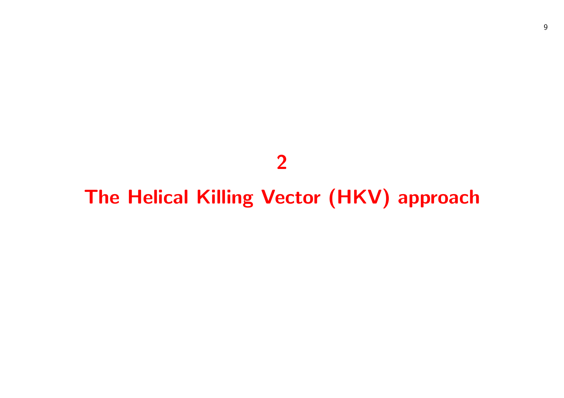## 

# The Helical Killing Vector (HKV) approach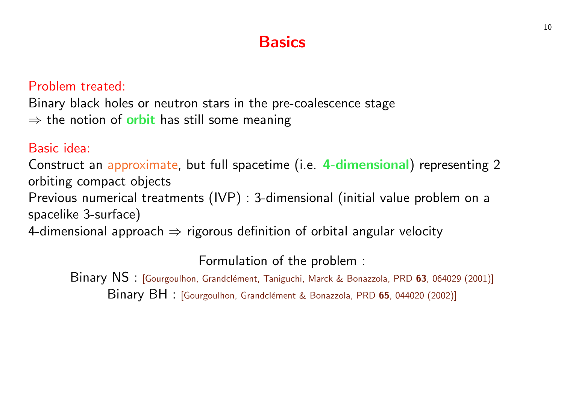## **Basics**

#### Problem treated:

Binary black holes or neutron stars in the pre-coalescence stage  $\Rightarrow$  the notion of **orbit** has still some meaning

#### Basic idea:

Construct an approximate[, but full spacetime \(i.e.](http://publish.aps.org/abstract/PRD/v65/e044020) 4-dimensional orbiting compact objects

Previous numerical treatments (IVP) : 3-dimensional (initial value spacelike 3-surface)

4-dimensional approach  $\Rightarrow$  rigorous definition of orbital angular ve

Formulation of the problem :

Binary NS : [Gourgoulhon, Grandclément, Taniguchi, Marck & Bonazzola, PRD Binary BH : [Gourgoulhon, Grandclément & Bonazzola, PRD 65, 044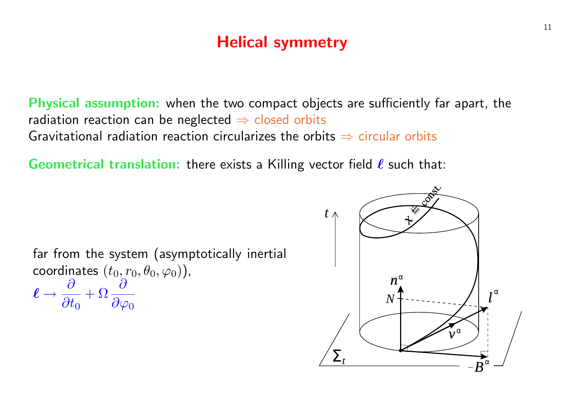## Helical symmetry

Physical assumption: when the two compact objects are sufficiently far apart, the radiation reaction can be neglected  $\Rightarrow$  closed orbits Gravitational radiation reaction circularizes the orbits  $\Rightarrow$  circular orbits

**Geometrical translation:** there exists a Killing vector field  $\ell$  such that:

far from the system (asymptotically inertial coordinates  $(t_0, r_0, \theta_0, \varphi_0)$  ),  $\ell \rightarrow$  $\partial$  $\overline{\partial t_0}$  $+\Omega \frac{\partial}{\partial x}$  $\partial \varphi_0$ 

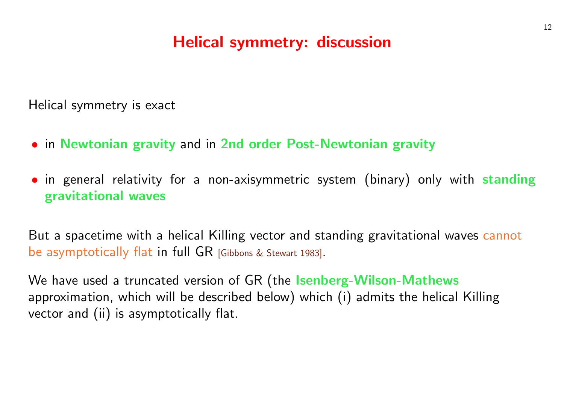## Helical symmetry: discussion

Helical symmetry is exact

- · in Newtonian gravity and in 2nd order Post-Newtonian gra
- in general relativity for a non-axisymmetric system (binary) gravitational waves

But a spacetime with a helical Killing vector and standing gravitat be asymptotically flat in full GR [Gibbons & Stewart 1983].

We have used a truncated version of GR (the Isenberg-Wilson-Nathews approximation, which will be described below) which (i) admits the vector and (ii) is asymptotically flat.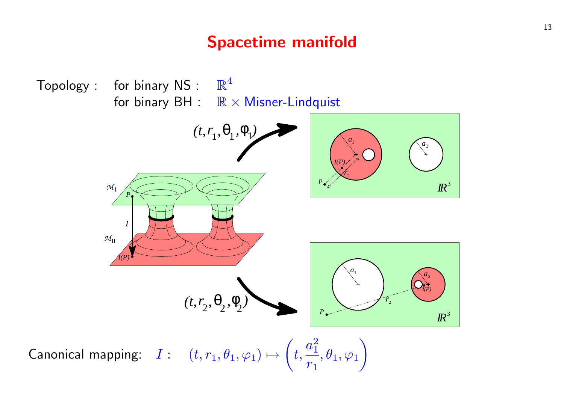## Spacetime manifold

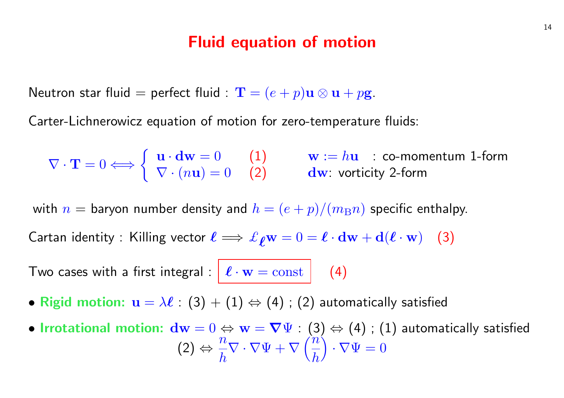#### Fluid equation of motion

<span id="page-14-0"></span>Neutron star fluid = perfect fluid :  $\mathbf{T} = (e + p)\mathbf{u} \otimes \mathbf{u} + p\mathbf{g}$ .

Carter-Lichnerowicz equation of motion for zero-temperature fluids:

$$
\nabla \cdot \mathbf{T} = 0 \Longleftrightarrow \left\{ \begin{array}{ll} \mathbf{u} \cdot \mathbf{d}\mathbf{w} = 0 & (1) \\ \nabla \cdot (n\mathbf{u}) = 0 & (2) \end{array} \right. \quad \text{w} := h\mathbf{u} \quad \text{: co-momentum 1-form}
$$

with  $n =$  baryon number density and  $h = (e + p)/(m_B n)$  specific enthalpy.

Cartan identity : Killing vector  $\ell \implies \ell_{\ell} w = 0 = \ell \cdot dw + d(\ell \cdot w)$  (3)

Two cases with a first integral :  $\mathcal{L} \cdot \mathbf{w} = \text{const}$  (4)

- Rigid motion:  $\mathbf{u} = \lambda \ell : (3) + (1) \Leftrightarrow (4)$ ; (2) automatically satisfied
- Irrotational motion:  $\mathbf{dw} = 0 \Leftrightarrow \mathbf{w} = \nabla \Psi : (3) \Leftrightarrow (4)$ ; (1) automatically satisfied  $(2)$  ⇔  $\overline{n}$ h  $\nabla \cdot \nabla \Psi + \nabla$ h  $\cdot \, \nabla \Psi = 0$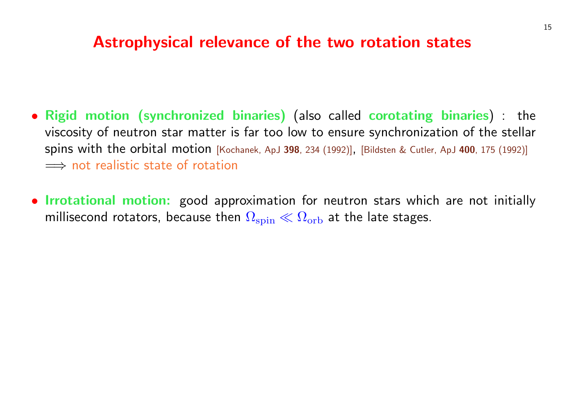### Astrophysical relevance of the two rotation

- Rigid motion (synchronized binaries) (also called corotation viscosity of neutron star matter is far too low to ensure synchro spins with the orbital motion [Kochanek, ApJ 398, 234 (1992)], [Bildsten &  $\implies$  not realistic state of rotation
- Irrotational motion: good approximation for neutron stars v millisecond rotators, because then  $\Omega_\mathrm{spin}\ll\Omega_\mathrm{orb}$  at the late sta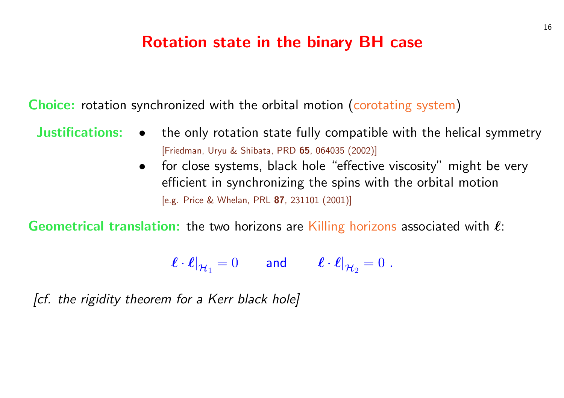### Rotation state in the binary BH case

Choice: rotation synchronized with the orbital motion (corotating

- Justifications: the only rotation state fully compatible with the helical symmetry [Friedman, Uryu & Shibata, PRD 65, 064035 (2002)]
	- for close systems, black hole "effective visc efficient in synchronizing the spins with the [e.g. Price & Whelan, PRL 87, 231101 (2001)]

Geometrical translation: the two horizons are Killing horizons as

$$
\boldsymbol{\ell} \cdot \boldsymbol{\ell}|_{\mathcal{H}_1} = 0 \qquad \text{and} \qquad \boldsymbol{\ell} \cdot \boldsymbol{\ell}|_{\mathcal{H}_2} = 0 \; .
$$

[cf. the rigidity theorem for a Kerr black hole]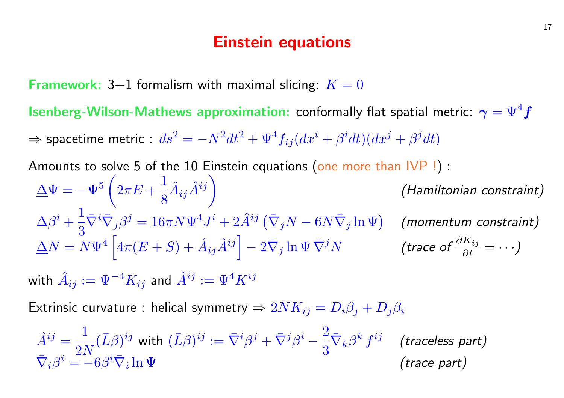#### Einstein equations

**Framework:** 3+1 formalism with maximal slicing:  $K = 0$ 

**Isenberg-Wilson-Mathews approximation:** conformally flat spatial metric:  $\gamma = \Psi^4 f$  $\Rightarrow$  spacetime metric :  $ds^2=-N^2dt^2+\Psi^4f_{ij}(dx^i+\beta^i dt)(dx^j+\beta^j dt)$ Amounts to solve 5 of the 10 Einstein equations (one more than IVP!):  $\Delta \Psi = - \Psi^5 \, \bigl( \, 2 \pi E \, + \,$ 1 8  $\hat{A}_{ij}\hat{A}^{ij}\biggr)$ (Hamiltonian constraint)  $\Delta \beta^i +$ 1 3  $\bar{\nabla}^i \bar{\nabla}_j \beta^j = 16 \pi N \Psi^4 J^i + 2 \hat{A}^{ij} \left( \bar{\nabla}_j N - 6 N \bar{\nabla}_j \ln \Psi \right) \quad \textbf{(momentum constraint)}$  $\Delta N = N \Psi^4 \left[ 4 \pi (E+S) + \hat{A}_{ij} \hat{A}^{ij} \right] - 2 \bar{\nabla}_j \ln \Psi \, \bar{\nabla}^j N$  (trace of  $\frac{\partial K_{ij}}{\partial t} = \cdots$  )  $\frac{J}{\Gamma}$ 

with  $\hat{A}_{ij}:=\Psi^{-4}K_{ij}$  and  $\hat{A}^{ij}:=\Psi^{4}K^{ij}$ 

Extrinsic curvature : helical symmetry  $\Rightarrow 2NK_{ij} = D_i\beta_i + D_j\beta_i$ 

$$
\hat{A}^{ij} = \frac{1}{2N} (\bar{L}\beta)^{ij} \text{ with } (\bar{L}\beta)^{ij} := \bar{\nabla}^i \beta^j + \bar{\nabla}^j \beta^i - \frac{2}{3} \bar{\nabla}_k \beta^k f^{ij} \quad \text{(traceless part)}
$$
\n
$$
\bar{\nabla}_i \beta^i = -6\beta^i \bar{\nabla}_i \ln \Psi \qquad \text{(trace part)}
$$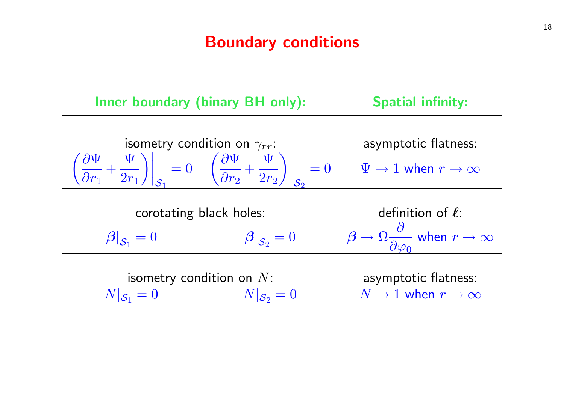### Boundary conditions

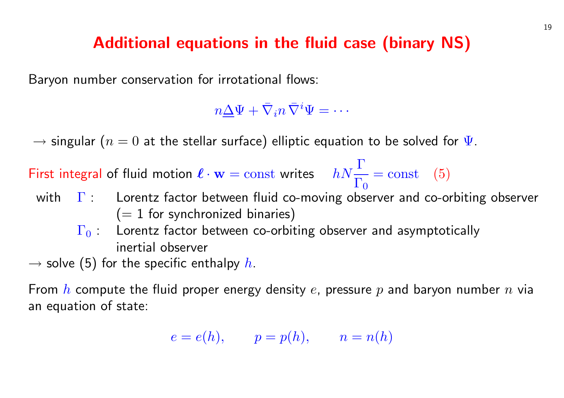## [A](#page-14-0)dditional equations in the fluid case (binary

Baryon number conservation for irrotational flows:

 $n\underline{\Delta}\Psi+\bar{\nabla}_in\bar{\nabla}^i\Psi=\cdots$ 

 $=$  cons

 $\rightarrow$  singular  $(n = 0$  at the stellar surface) elliptic equation to be so

First integral of fluid motion  $\ell \cdot \mathbf{w} = \text{const}$  writes  $hN \frac{\Gamma}{\Gamma}$ 

- $\Gamma_0$ with  $\Gamma$  : Lorentz factor between fluid co-moving observer ar  $(= 1$  for synchronized binaries)
	- $\Gamma_0$  : Lorentz factor between co-orbiting observer and as inertial observer
- $\rightarrow$  solve (5) for the specific enthalpy h.

From h compute the fluid proper energy density e, pressure  $p$  and an equation of state:

$$
e = e(h), \qquad p = p(h), \qquad n = n(h)
$$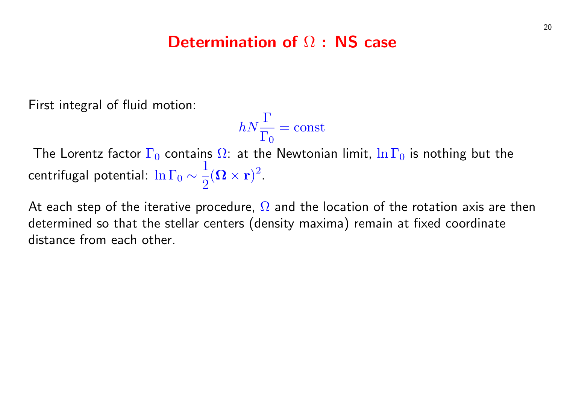### Determination of Ω : NS case

First integral of fluid motion:

$$
hN\frac{\Gamma}{\Gamma_0}=\mathrm{const}
$$

The Lorentz factor  $\Gamma_0$  contains  $\Omega$ : at the Newtonian limit,  $\ln \Gamma_0$  is nothing but the centrifugal potential:  $\ln\Gamma_0\sim$ 1 2  $({\boldsymbol \Omega}\times{\bf r})^2$  .

At each step of the iterative procedure,  $\Omega$  and the location of the rotation axis are then determined so that the stellar centers (density maxima) remain at fixed coordinate distance from each other.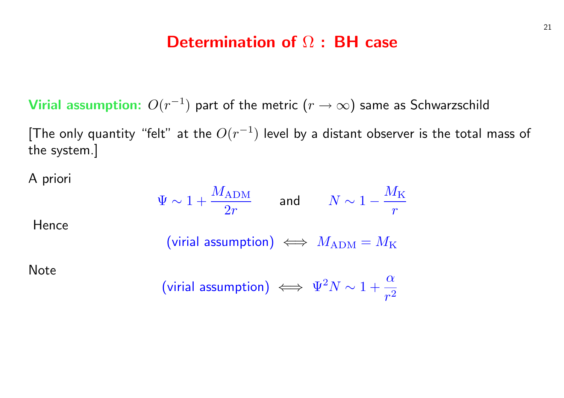#### Determination of Ω : BH case

Virial assumption:  $O(r^{-1})$  part of the metric  $(r\rightarrow\infty)$  same as Schwarzschild

[The only quantity "felt" at the  $O(r^{-1})$  level by a distant observer is the total mass of the system.]

A priori

Hence

Note

$$
\Psi \sim 1 + \frac{M_{\text{ADM}}}{2r} \qquad \text{and} \qquad N \sim 1 - \frac{M_{\text{K}}}{r}
$$
\n(virial assumption)

\n
$$
\iff M_{\text{ADM}} = M_{\text{K}}
$$
\n(virial assumption)

\n
$$
\iff \Psi^2 N \sim 1 + \frac{\alpha}{r^2}
$$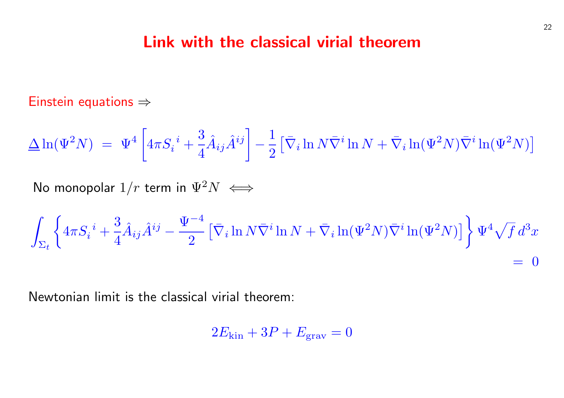#### Link with the classical virial theorer

 $\ddot{\phantom{}}$ 

Einstein equations ⇒

$$
\Delta \ln(\Psi^2 N) = \Psi^4 \left[ 4\pi S_i^i + \frac{3}{4} \hat{A}_{ij} \hat{A}^{ij} \right] - \frac{1}{2} \left[ \bar{\nabla}_i \ln N \bar{\nabla}^i \ln N + \bar{\nabla}_i \right]
$$

No monopolar  $1/r$  term in  $\Psi^2 N \iff$ 

$$
\int_{\Sigma_t}\Bigg\{4\pi S_i^{\ i}+\frac{3}{4}\hat{A}_{ij}\hat{A}^{ij}-\frac{\Psi^{-4}}{2}\left[\bar{\nabla}_i\ln N\bar{\nabla}^i\ln N+\bar{\nabla}_i\ln(\Psi^2N)\bar{\nabla}^i\right]\Bigg\}
$$

Newtonian limit is the classical virial theorem:

$$
2E_{\rm kin} + 3P + E_{\rm grav} = 0
$$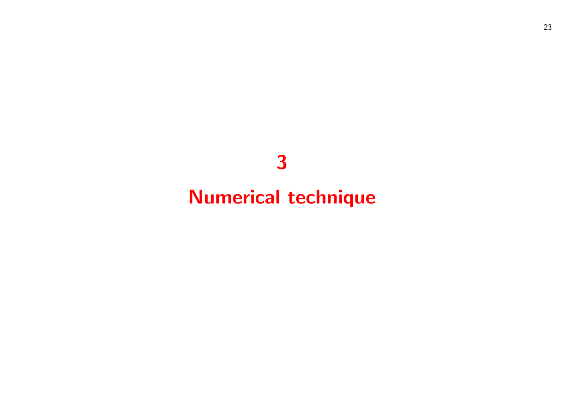## 

# Numerical technique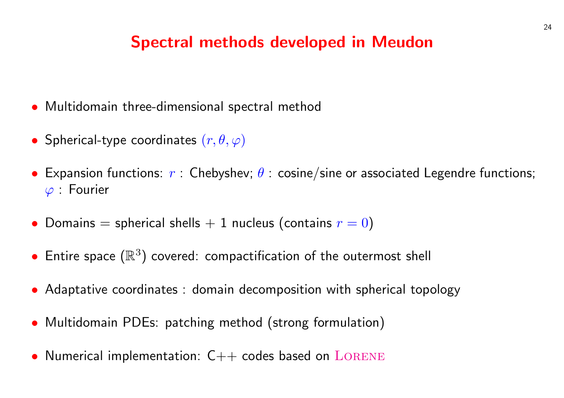## **Spectral methods developed in Meudon**

- Multidomain three-dimensional spectral method
- Spherical-type coordinates  $(r, \theta, \varphi)$
- Expansion functions:  $r$  : Chebyshev;  $\theta$  : cosine/sine or associate  $\varphi$  : Fourier
- Domains = spherical shells  $+$  1 nucleus (contains  $r = 0$  $r = 0$ )
- Entire space  $(\mathbb{R}^3)$  covered: compactification of the outermost s
- Adaptative coordinates : domain decomposition with spherical
- Multidomain PDEs: patching method (strong formulation)
- Numerical implementation:  $C++$  codes based on  $L{\rm ORENE}$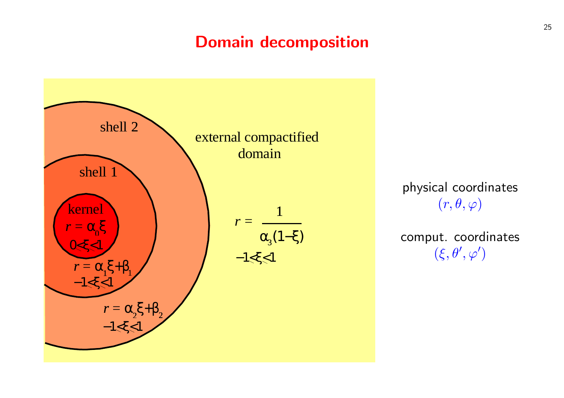## Domain decomposition



physical coordinates  $(r, \theta, \varphi)$ 

comput. coordinates  $(\xi, \theta', \varphi')$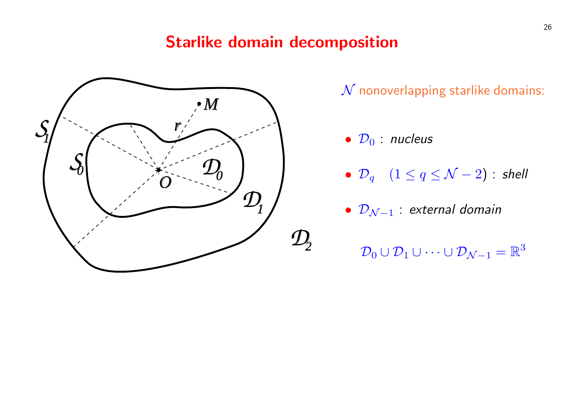### Starlike domain decomposition



 $\mathcal N$  nonoverlapping starlike domains:

- $\mathcal{D}_0$  : nucleus
- $\mathcal{D}_q$   $(1 \leq q \leq \mathcal{N} 2)$  : shell
- $\mathcal{D}_{\mathcal{N}-1}$  : external domain
	- $\mathcal{D}_0\cup\mathcal{D}_1\cup\cdots\cup\mathcal{D}_{\mathcal{N}-1}=\mathbb{R}^3$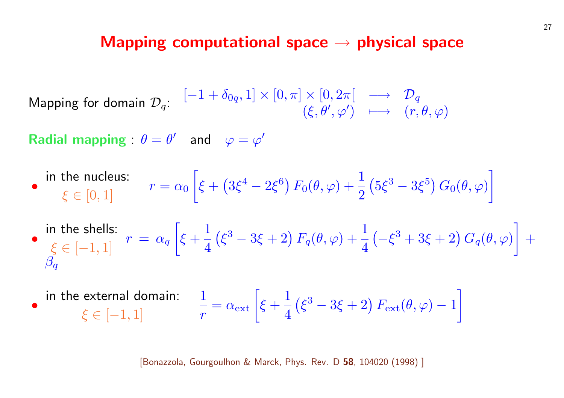#### Mapping computational space  $\rightarrow$  physica

Mapping for domain  $\mathcal{D}_q$ :  $[-1 + \delta_{0q}, 1] \times [0, \pi] \times [0, 2\pi[ \rightarrow 1]$  $(\xi, \theta', \varphi') \quad \longmapsto \quad ($ 

Radial mapping :  $\theta = \theta'$  and  $\varphi = \varphi'$ 

- in the nucleus:  $\xi \in [0, 1]$   $r = \alpha_0$ ·  $\xi +$ ¡  $3\xi^4 - 2\xi^6 \big) F_0(\theta, \varphi) + \frac{1}{2}$ 2 ¡  $5\xi^3$  –
- in the shells:  $\xi \in [-1, 1]$   $r = \alpha_q$ ·  $\xi +$ 1 4 ¡  $\left(\xi^3-3\xi+2\right)F_q(\theta,\varphi)+\frac{1}{4}$ 4 ¡  $-\xi^3 +$  $\overline{\beta_q}$
- in the external domain:  $\xi \in [-1, 1]$ 1 r  $= \alpha_{\rm ext} \left[ \xi + \right]$ 1 4 ¡  $\xi^3-3\xi+2\big)\,F_{\rm ext}(t)$

[Bonazzola, Gourgoulhon & Marck, Phys. Rev. D 58, 104020 (199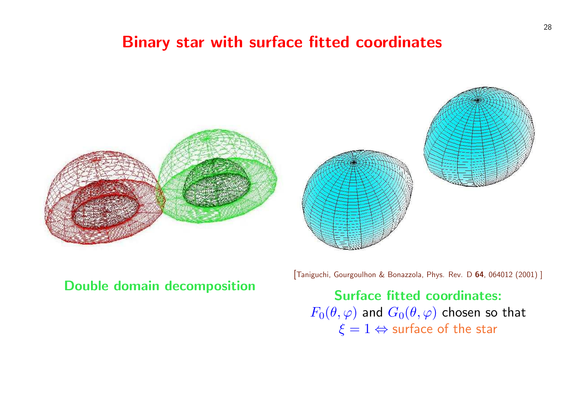## Binary star with surface fitted coordin



Double domain decomposition

[Taniguchi, Gourgoulhon & Bonazz

Surface fitte  $F_0(\theta, \varphi)$  and  $G_0(\theta)$  $\xi = 1 \Leftrightarrow$  sur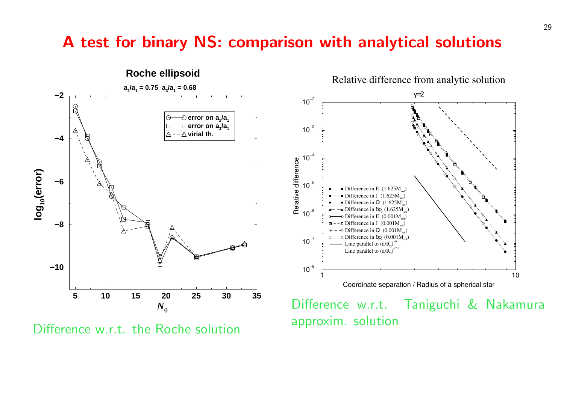#### A test for binary NS: comparison with analytical solutions



Difference w.r.t. the Roche solution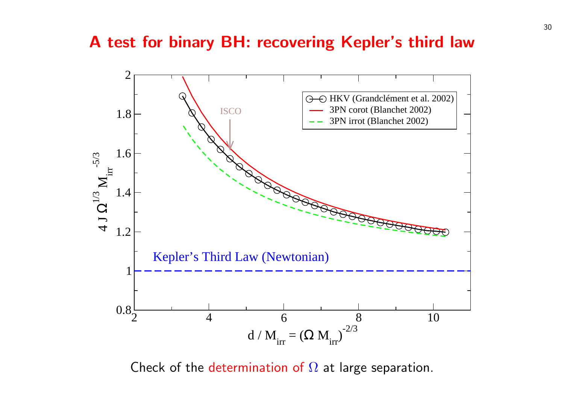#### A test for binary BH: recovering Kepler's



Check of the determination of  $\Omega$  at large separat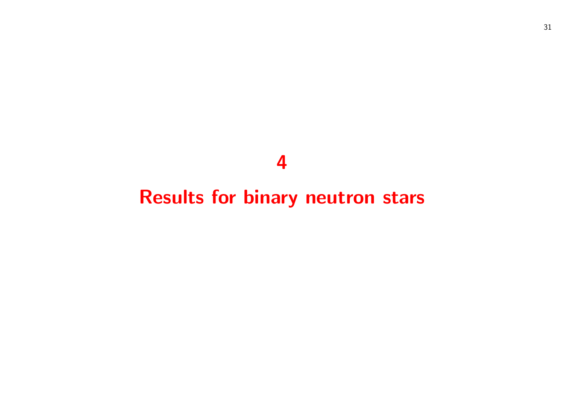## 

## Results for binary neutron stars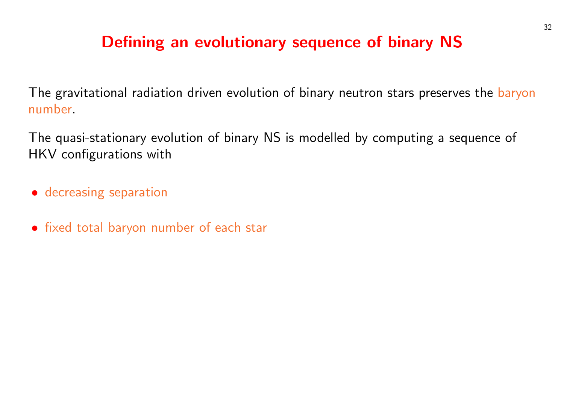## Defining an evolutionary sequence of binary NS

The gravitational radiation driven evolution of binary neutron stars preserves the baryon number.

The quasi-stationary evolution of binary NS is modelled by computing a sequence of HKV configurations with

- decreasing separation
- fixed total baryon number of each star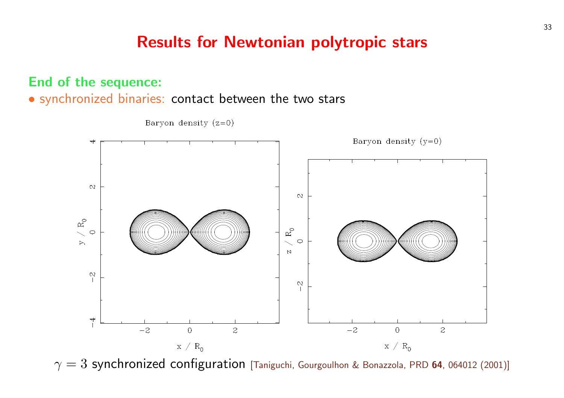## Results for Newtonian polytropic sta

#### End of the sequence:

• synchronized binaries: contact between the two stars



Baryon density  $(z=0)$ 

 $\gamma = 3$  synchronized configuration [Taniguchi, Gourgoulhon & Bonazzola,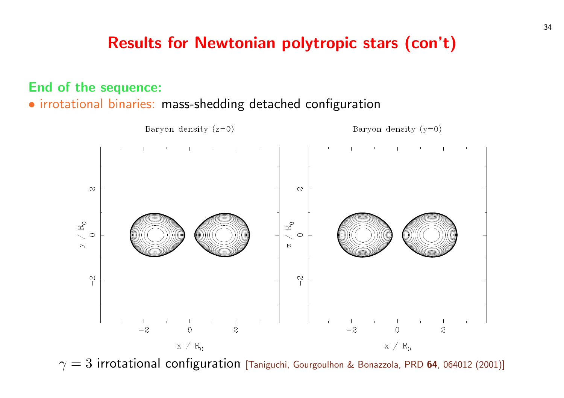## Results for Newtonian polytropic stars (

#### End of the sequence:

• irrotational binaries: mass-shedding detached configuration



 $\gamma=3$  irrotational configuration [Taniguchi, Gourgoulhon & Bonazzola, P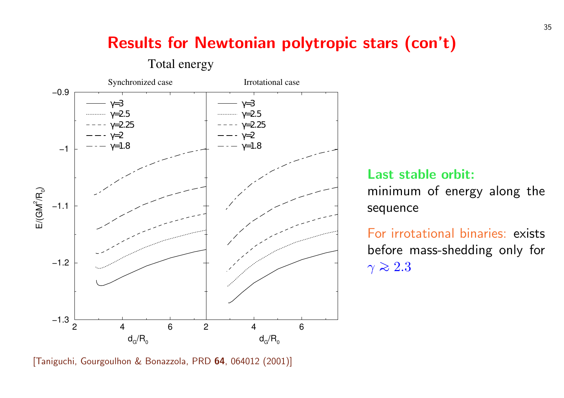## Results for Newtonian polytropic stars (



Last st minimu sequend

For irro before  $\gamma \gtrsim 2.3$ 

[Taniguchi, Gourgoulhon & Bonazzola, PRD 64, 064012 (2001)]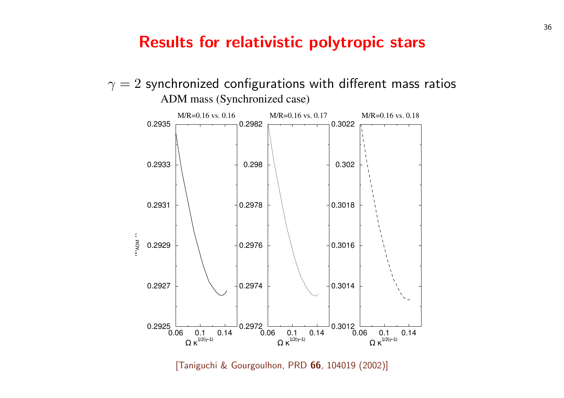#### Results for relativistic polytropic sta



[Taniguchi & Gourgoulhon, PRD 66, 104019 (2002)]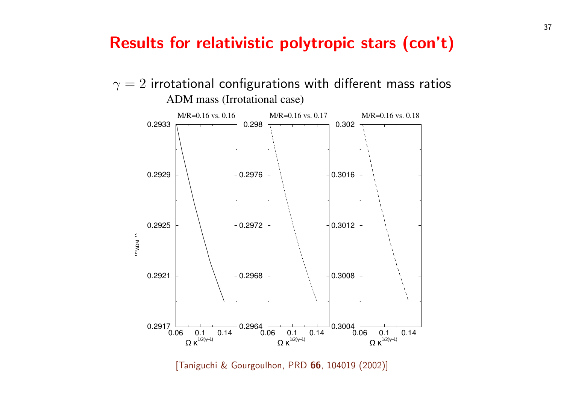#### Results for relativistic polytropic stars (





[Taniguchi & Gourgoulhon, PRD 66, 104019 (2002)]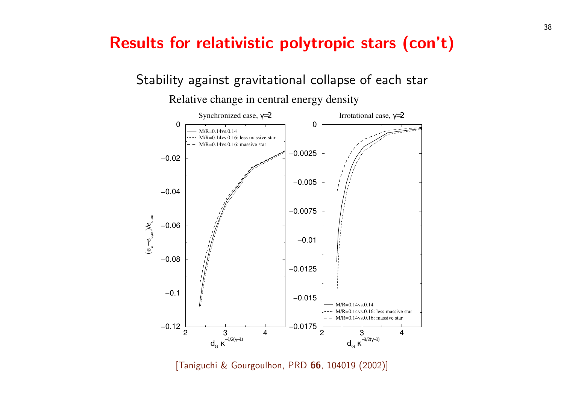## Results for relativistic polytropic stars (

Stability against gravitational collapse of each s

Relative change in central energy density



[Taniguchi & Gourgoulhon, PRD 66, 104019 (2002)]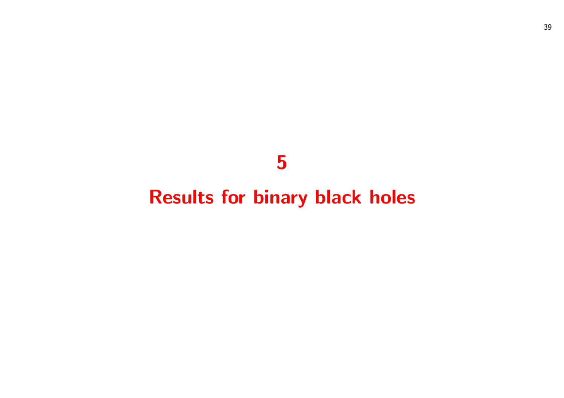## 

# Results for binary black holes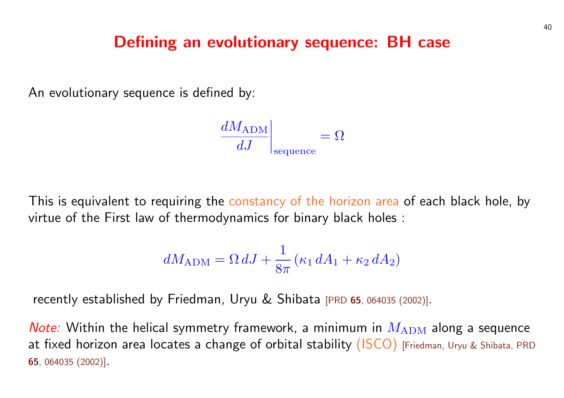#### Defining an evolutionary sequence: BH

An evolutionary sequence is defined by:

$$
\left. \frac{dM_{\rm ADM}}{dJ} \right|_{\rm sequence} = \Omega
$$

This is equivalent to requiring the constancy of the horizon area of virtue of the First law of thermodynamics for binary black holes [:](http://publish.aps.org/abstract/PRD/v65/e064035)

$$
dM_{\rm ADM} = \Omega \, dJ + \frac{1}{8\pi} \left( \kappa_1 \, dA_1 + \kappa_2 \, dA_2 \right)
$$

recently established by Friedman, Uryu & Shibata [PRD 65, 064035 (20

Note: Within the helical symmetry framework, a minimum in  $M_{\rm Al}$ at fixed horizon area locates a change of orbital stability (ISCO) [F 65, 064035 (2002)].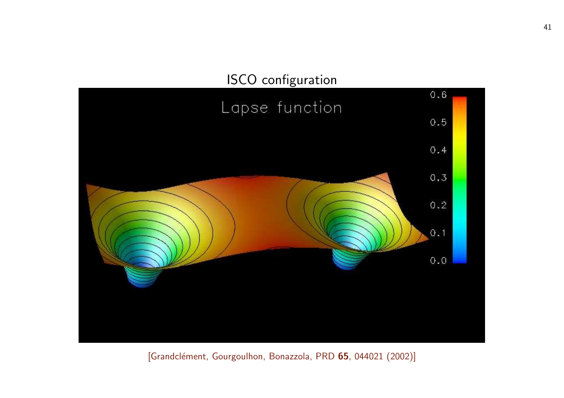## ISCO configuration

## Lapse function



[Grandclément, Gourgoulhon, Bonazzola, PRD 65, 044021 (2002)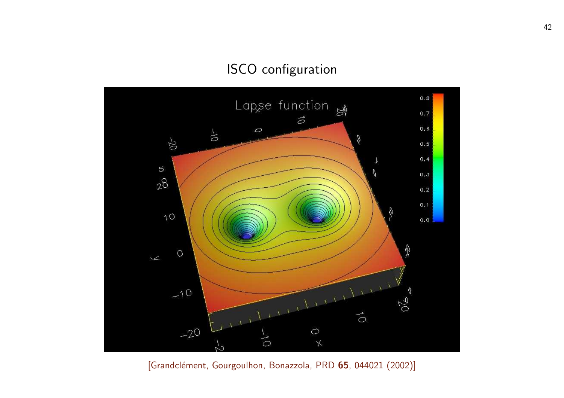#### ISCO configuration



[Grandclément, Gourgoulhon, Bonazzola, PRD 65, 044021 (2002)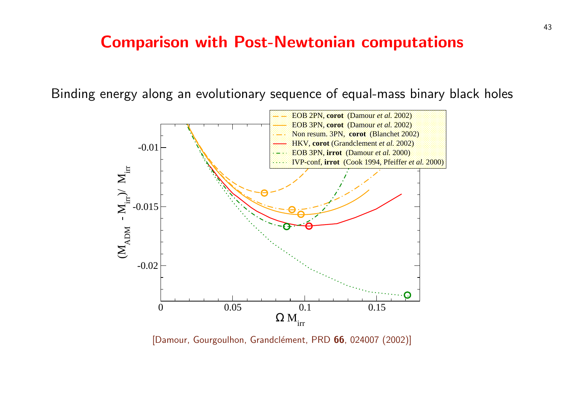#### **Comparison with Post-Newtonian computations**

Binding energy along an evolutionary sequence of equal-mass



[Damour, Gourgoulhon, Grandclément, PRD 66, 024007 (2002)]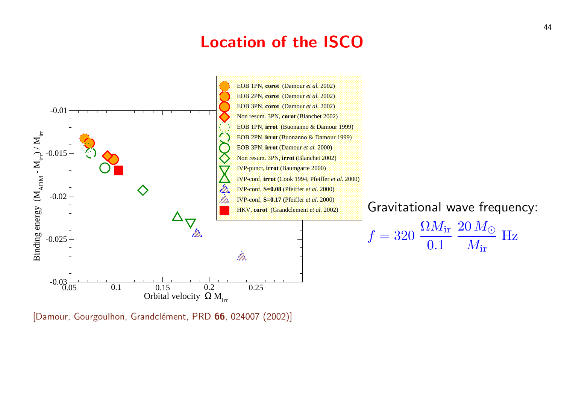#### Location of the ISCO



[Damour, Gourgoulhon, Grandclément, PRD 66, 024007 (2002)]